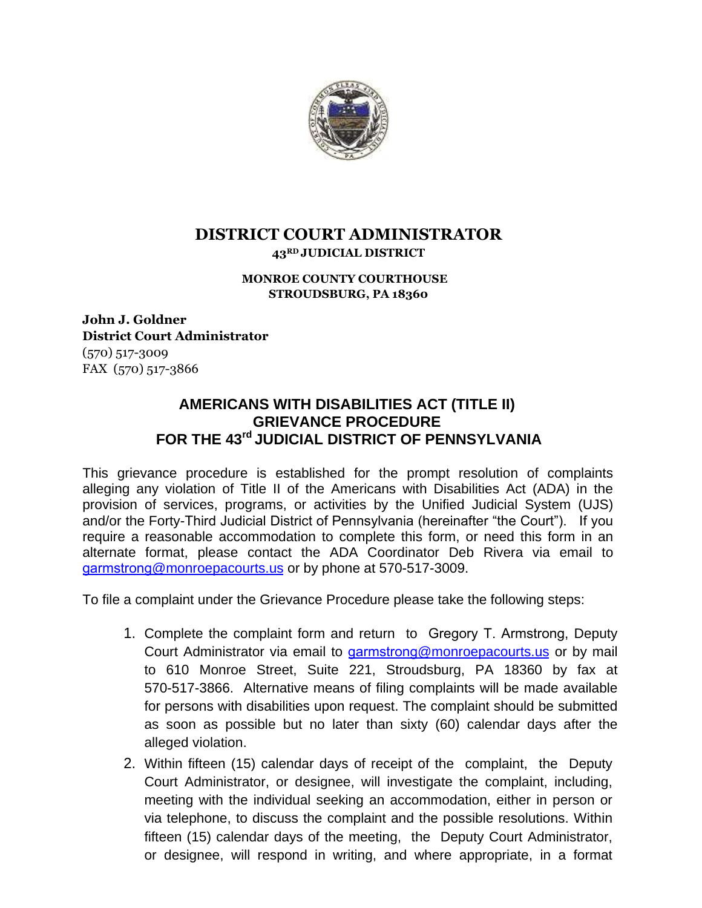

## **DISTRICT COURT ADMINISTRATOR 43RD JUDICIAL DISTRICT**

## **MONROE COUNTY COURTHOUSE STROUDSBURG, PA 18360**

**John J. Goldner District Court Administrator**  (570) 517-3009 FAX (570) 517-3866

## **AMERICANS WITH DISABILITIES ACT (TITLE II) GRIEVANCE PROCEDURE FOR THE 43rd JUDICIAL DISTRICT OF PENNSYLVANIA**

This grievance procedure is established for the prompt resolution of complaints alleging any violation of Title II of the Americans with Disabilities Act (ADA) in the provision of services, programs, or activities by the Unified Judicial System (UJS) and/or the Forty-Third Judicial District of Pennsylvania (hereinafter "the Court"). If you require a reasonable accommodation to complete this form, or need this form in an alternate format, please contact the ADA Coordinator Deb Rivera via email to garmstrong[@monroepacourts](mailto:drivera@monroepacourts.us).us or by phone at 570-517-3009.

To file a complaint under the Grievance Procedure please take the following steps:

- 1. Complete the complaint form and return to Gregory T. Armstrong, Deputy Court Administrator via email to garmstrong[@monroepa](mailto:drivera@monroepacourts.us)courts.us or by mail to 610 Monroe Street, Suite 221, Stroudsburg, PA 18360 by fax at 570-517-3866. Alternative means of filing complaints will be made available for persons with disabilities upon request. The complaint should be submitted as soon as possible but no later than sixty (60) calendar days after the alleged violation.
- 2. Within fifteen (15) calendar days of receipt of the complaint, the Deputy Court Administrator, or designee, will investigate the complaint, including, meeting with the individual seeking an accommodation, either in person or via telephone, to discuss the complaint and the possible resolutions. Within fifteen (15) calendar days of the meeting, the Deputy Court Administrator, or designee, will respond in writing, and where appropriate, in a format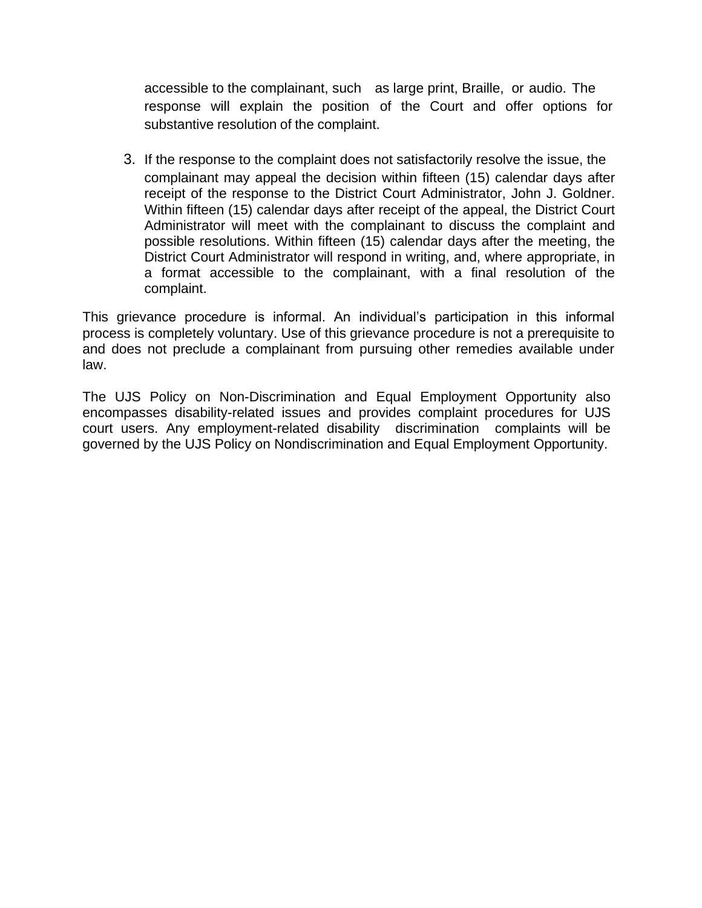accessible to the complainant, such as large print, Braille, or audio. The response will explain the position of the Court and offer options for substantive resolution of the complaint.

3. If the response to the complaint does not satisfactorily resolve the issue, the complainant may appeal the decision within fifteen (15) calendar days after receipt of the response to the District Court Administrator, John J. Goldner. Within fifteen (15) calendar days after receipt of the appeal, the District Court Administrator will meet with the complainant to discuss the complaint and possible resolutions. Within fifteen (15) calendar days after the meeting, the District Court Administrator will respond in writing, and, where appropriate, in a format accessible to the complainant, with a final resolution of the complaint.

This grievance procedure is informal. An individual's participation in this informal process is completely voluntary. Use of this grievance procedure is not a prerequisite to and does not preclude a complainant from pursuing other remedies available under law.

The UJS Policy on Non-Discrimination and Equal Employment Opportunity also encompasses disability-related issues and provides complaint procedures for UJS court users. Any employment-related disability discrimination complaints will be governed by the UJS Policy on Nondiscrimination and Equal Employment Opportunity.